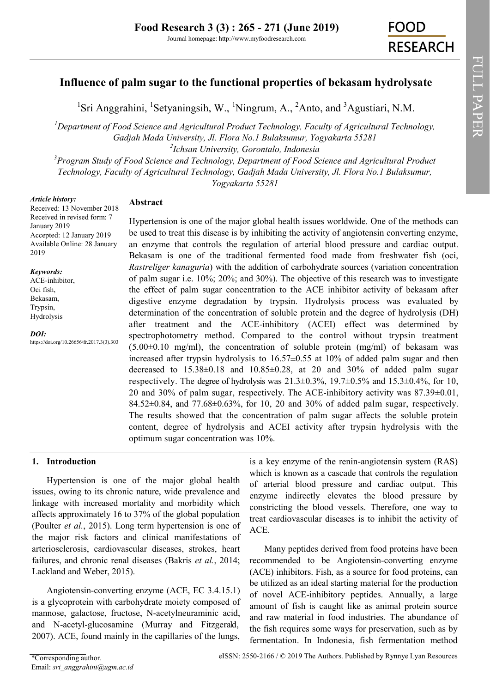# **Influence of palm sugar to the functional properties of bekasam hydrolysate**

<sup>1</sup>Sri Anggrahini, <sup>1</sup>Setyaningsih, W., <sup>1</sup>Ningrum, A., <sup>2</sup>Anto, and <sup>3</sup>Agustiari, N.M.

*<sup>1</sup>Department of Food Science and Agricultural Product Technology, Faculty of Agricultural Technology, Gadjah Mada University, Jl. Flora No.1 Bulaksumur, Yogyakarta 55281 2 Ichsan University, Gorontalo, Indonesia*

*<sup>3</sup>Program Study of Food Science and Technology, Department of Food Science and Agricultural Product Technology, Faculty of Agricultural Technology, Gadjah Mada University, Jl. Flora No.1 Bulaksumur, Yogyakarta 55281*

*Article history:*

# **Abstract**

Received: 13 November 2018 Received in revised form: 7 January 2019 Accepted: 12 January 2019 Available Online: 28 January 2019

#### *Keywords:*

ACE-inhibitor, Oci fish, Bekasam, Trypsin, Hydrolysis

*DOI:* https://doi.org/10.26656/fr.2017.3(3).303

Hypertension is one of the major global health issues worldwide. One of the methods can be used to treat this disease is by inhibiting the activity of angiotensin converting enzyme, an enzyme that controls the regulation of arterial blood pressure and cardiac output. Bekasam is one of the traditional fermented food made from freshwater fish (oci, *Rastreliger kanaguria*) with the addition of carbohydrate sources (variation concentration of palm sugar i.e. 10%; 20%; and 30%). The objective of this research was to investigate the effect of palm sugar concentration to the ACE inhibitor activity of bekasam after digestive enzyme degradation by trypsin. Hydrolysis process was evaluated by determination of the concentration of soluble protein and the degree of hydrolysis (DH) after treatment and the ACE-inhibitory (ACEI) effect was determined by spectrophotometry method. Compared to the control without trypsin treatment  $(5.00\pm0.10 \text{ mg/ml})$ , the concentration of soluble protein  $(mg/ml)$  of bekasam was increased after trypsin hydrolysis to 16.57±0.55 at 10% of added palm sugar and then decreased to 15.38±0.18 and 10.85±0.28, at 20 and 30% of added palm sugar respectively. The degree of hydrolysis was  $21.3\pm0.3\%$ ,  $19.7\pm0.5\%$  and  $15.3\pm0.4\%$ , for 10, 20 and 30% of palm sugar, respectively. The ACE-inhibitory activity was 87.39±0.01, 84.52 $\pm$ 0.84, and 77.68 $\pm$ 0.63%, for 10, 20 and 30% of added palm sugar, respectively. The results showed that the concentration of palm sugar affects the soluble protein content, degree of hydrolysis and ACEI activity after trypsin hydrolysis with the optimum sugar concentration was 10%.

# **1. Introduction**

Hypertension is one of the major global health issues, owing to its chronic nature, wide prevalence and linkage with increased mortality and morbidity which affects approximately 16 to 37% of the global population (Poulter *et al.*, 2015). Long term hypertension is one of the major risk factors and clinical manifestations of arteriosclerosis, cardiovascular diseases, strokes, heart failures, and chronic renal diseases (Bakris *et al.*, 2014; Lackland and Weber, 2015).

Angiotensin-converting enzyme (ACE, EC 3.4.15.1) is a glycoprotein with carbohydrate moiety composed of mannose, galactose, fructose, N-acetylneuraminic acid, and N-acetyl-glucosamine (Murray and Fitzgerald, 2007). ACE, found mainly in the capillaries of the lungs,

is a key enzyme of the renin-angiotensin system (RAS) which is known as a cascade that controls the regulation of arterial blood pressure and cardiac output. This enzyme indirectly elevates the blood pressure by constricting the blood vessels. Therefore, one way to treat cardiovascular diseases is to inhibit the activity of ACE.

Many peptides derived from food proteins have been recommended to be Angiotensin-converting enzyme (ACE) inhibitors. Fish, as a source for food proteins, can be utilized as an ideal starting material for the production of novel ACE-inhibitory peptides. Annually, a large amount of fish is caught like as animal protein source and raw material in food industries. The abundance of the fish requires some ways for preservation, such as by fermentation. In Indonesia, fish fermentation method

FULL PAPER

FULL PAPER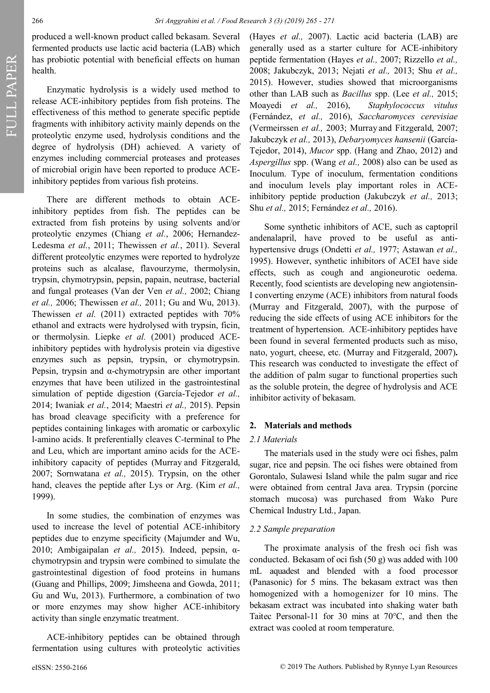FULL PAPER FULL PAPER

produced a well-known product called bekasam. Several fermented products use lactic acid bacteria (LAB) which has probiotic potential with beneficial effects on human health.

Enzymatic hydrolysis is a widely used method to release ACE-inhibitory peptides from fish proteins. The effectiveness of this method to generate specific peptide fragments with inhibitory activity mainly depends on the proteolytic enzyme used, hydrolysis conditions and the degree of hydrolysis (DH) achieved. A variety of enzymes including commercial proteases and proteases of microbial origin have been reported to produce ACEinhibitory peptides from various fish proteins.

There are different methods to obtain ACEinhibitory peptides from fish. The peptides can be extracted from fish proteins by using solvents and/or proteolytic enzymes (Chiang *et al.*, 2006; Hernandez-Ledesma *et al.*, 2011; Thewissen *et al.*, 2011). Several different proteolytic enzymes were reported to hydrolyze proteins such as alcalase, flavourzyme, thermolysin, trypsin, chymotrypsin, pepsin, papain, neutrase, bacterial and fungal proteases (Van der Ven *et al.,* 2002; Chiang *et al.,* 2006; Thewissen *et al.,* 2011; Gu and Wu, 2013). Thewissen *et al.* (2011) extracted peptides with 70% ethanol and extracts were hydrolysed with trypsin, ficin, or thermolysin. Liepke *et al.* (2001) produced ACEinhibitory peptides with hydrolysis protein via digestive enzymes such as pepsin, trypsin, or chymotrypsin. Pepsin, trypsin and α-chymotrypsin are other important enzymes that have been utilized in the gastrointestinal simulation of peptide digestion (García-Tejedor *et al.,* 2014; Iwaniak *et al.*, 2014; Maestri *et al.,* 2015). Pepsin has broad cleavage specificity with a preference for peptides containing linkages with aromatic or carboxylic l-amino acids. It preferentially cleaves C-terminal to Phe and Leu, which are important amino acids for the ACEinhibitory capacity of peptides (Murray and Fitzgerald, 2007; Sornwatana *et al.,* 2015). Trypsin, on the other hand, cleaves the peptide after Lys or Arg. (Kim *et al.,* 1999).

In some studies, the combination of enzymes was used to increase the level of potential ACE-inhibitory peptides due to enzyme specificity (Majumder and Wu, 2010; Ambigaipalan *et al.,* 2015). Indeed, pepsin, αchymotrypsin and trypsin were combined to simulate the gastrointestinal digestion of food proteins in humans (Guang and Phillips, 2009; Jimsheena and Gowda, 2011; Gu and Wu, 2013). Furthermore, a combination of two or more enzymes may show higher ACE-inhibitory activity than single enzymatic treatment.

ACE-inhibitory peptides can be obtained through fermentation using cultures with proteolytic activities

(Hayes *et al.,* 2007). Lactic acid bacteria (LAB) are generally used as a starter culture for ACE-inhibitory peptide fermentation (Hayes *et al.,* 2007; Rizzello *et al.,*  2008; Jakubczyk, 2013; Nejati *et al.,* 2013; Shu *et al.,* 2015). However, studies showed that microorganisms other than LAB such as *Bacillus* spp. (Lee *et al.,* 2015; Moayedi *et al.,* 2016), *Staphylococcus vitulus* (Fernández, *et al.,* 2016), *Saccharomyces cerevisiae* (Vermeirssen *et al.,* 2003; Murray and Fitzgerald, 2007; Jakubczyk *et al.,* 2013), *Debaryomyces hansenii* (García-Tejedor, 2014), *Mucor* spp. (Hang and Zhao, 2012) and *Aspergillus* spp. (Wang *et al.,* 2008) also can be used as Inoculum. Type of inoculum, fermentation conditions and inoculum levels play important roles in ACEinhibitory peptide production (Jakubczyk *et al.,* 2013; Shu *et al.,* 2015; Fernández *et al.,* 2016).

Some synthetic inhibitors of ACE, such as captopril andenalapril, have proved to be useful as antihypertensive drugs (Ondetti *et al.,* 1977; Astawan *et al.,* 1995). However, synthetic inhibitors of ACEI have side effects, such as cough and angioneurotic oedema. Recently, food scientists are developing new angiotensin-I converting enzyme (ACE) inhibitors from natural foods (Murray and Fitzgerald, 2007), with the purpose of reducing the side effects of using ACE inhibitors for the treatment of hypertension. ACE-inhibitory peptides have been found in several fermented products such as miso, nato, yogurt, cheese, etc. (Murray and Fitzgerald, 2007)**.** This research was conducted to investigate the effect of the addition of palm sugar to functional properties such as the soluble protein, the degree of hydrolysis and ACE inhibitor activity of bekasam.

# **2. Materials and methods**

#### *2.1 Materials*

The materials used in the study were oci fishes, palm sugar, rice and pepsin. The oci fishes were obtained from Gorontalo, Sulawesi Island while the palm sugar and rice were obtained from central Java area. Trypsin (porcine stomach mucosa) was purchased from Wako Pure Chemical Industry Ltd., Japan.

### *2.2 Sample preparation*

The proximate analysis of the fresh oci fish was conducted. Bekasam of oci fish (50 g) was added with 100 mL aquadest and blended with a food processor (Panasonic) for 5 mins. The bekasam extract was then homogenized with a homogenizer for 10 mins. The bekasam extract was incubated into shaking water bath Taitec Personal-11 for 30 mins at 70°C, and then the extract was cooled at room temperature.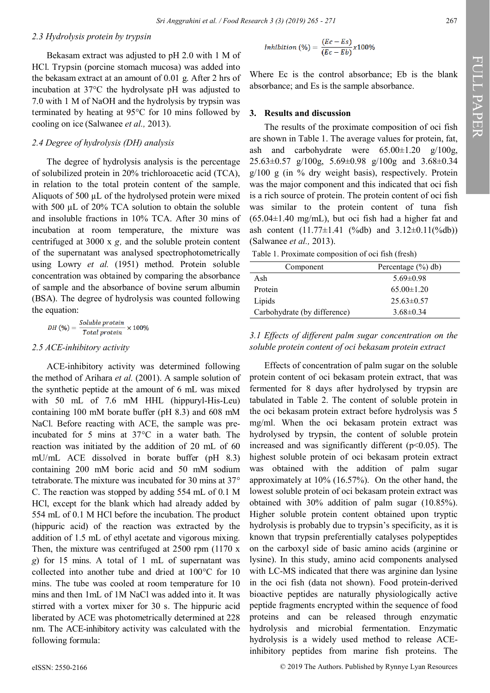#### *2.3 Hydrolysis protein by trypsin*

Bekasam extract was adjusted to pH 2.0 with 1 M of HCl. Trypsin (porcine stomach mucosa) was added into the bekasam extract at an amount of 0.01 g. After 2 hrs of incubation at 37°C the hydrolysate pH was adjusted to 7.0 with 1 M of NaOH and the hydrolysis by trypsin was terminated by heating at 95°C for 10 mins followed by cooling on ice (Salwanee *et al.,* 2013).

## *2.4 Degree of hydrolysis (DH) analysis*

The degree of hydrolysis analysis is the percentage of solubilized protein in 20% trichloroacetic acid (TCA), in relation to the total protein content of the sample Aliquots of 500  $\mu$ L of the hydrolysed protein were mixed with 500 µL of 20% TCA solution to obtain the soluble and insoluble fractions in 10% TCA. After 30 mins of incubation at room temperature, the mixture was centrifuged at 3000 x *g,* and the soluble protein content of the supernatant was analysed spectrophotometrically using Lowry *et al.* (1951) method. Protein soluble concentration was obtained by comparing the absorbance of sample and the absorbance of bovine serum albumin (BSA). The degree of hydrolysis was counted following the equation:

$$
DH (%) = \frac{Soluble\ protein}{Total\ protein} \times 100\%
$$

### *2.5 ACE-inhibitory activity*

ACE-inhibitory activity was determined following the method of Arihara *et al.* (2001). A sample solution of the synthetic peptide at the amount of 6 mL was mixed with 50 mL of 7.6 mM HHL (hippuryl-His-Leu) containing 100 mM borate buffer (pH 8.3) and 608 mM NaCl. Before reacting with ACE, the sample was preincubated for 5 mins at 37°C in a water bath. The reaction was initiated by the addition of 20 mL of 60 mU/mL ACE dissolved in borate buffer (pH 8.3) containing 200 mM boric acid and 50 mM sodium tetraborate. The mixture was incubated for 30 mins at 37° C. The reaction was stopped by adding 554 mL of 0.1 M HCl, except for the blank which had already added by 554 mL of 0.1 M HCl before the incubation. The product (hippuric acid) of the reaction was extracted by the addition of 1.5 mL of ethyl acetate and vigorous mixing. Then, the mixture was centrifuged at 2500 rpm (1170 x *g*) for 15 mins. A total of 1 mL of supernatant was collected into another tube and dried at 100°C for 10 mins. The tube was cooled at room temperature for 10 mins and then 1mL of 1M NaCl was added into it. It was stirred with a vortex mixer for 30 s. The hippuric acid liberated by ACE was photometrically determined at 228 nm. The ACE-inhibitory activity was calculated with the following formula:

$$
Inhibition (%) = \frac{(Ec - Es)}{(Ec - Eb)} \times 100\%
$$

Where Ec is the control absorbance; Eb is the blank absorbance; and Es is the sample absorbance.

#### **3. Results and discussion**

The results of the proximate composition of oci fish are shown in Table 1. The average values for protein, fat, ash and carbohydrate were  $65.00 \pm 1.20$  g/100g, 25.63±0.57 g/100g, 5.69±0.98 g/100g and 3.68±0.34  $g/100$  g (in % dry weight basis), respectively. Protein was the major component and this indicated that oci fish is a rich source of protein. The protein content of oci fish was similar to the protein content of tuna fish  $(65.04\pm1.40 \text{ mg/mL})$ , but oci fish had a higher fat and ash content  $(11.77 \pm 1.41 \, (%db)$  and  $3.12 \pm 0.11(^{\circ}\text{6}db)$ (Salwanee *et al.,* 2013).

Table 1. Proximate composition of oci fish (fresh)

| Component                    | Percentage $(\%$ ) db) |
|------------------------------|------------------------|
| Ash                          | $5.69 \pm 0.98$        |
| Protein                      | $65.00 \pm 1.20$       |
| Lipids                       | $25.63 \pm 0.57$       |
| Carbohydrate (by difference) | $3.68\pm0.34$          |

*3.1 Effects of different palm sugar concentration on the soluble protein content of oci bekasam protein extract*

Effects of concentration of palm sugar on the soluble protein content of oci bekasam protein extract, that was fermented for 8 days after hydrolysed by trypsin are tabulated in Table 2. The content of soluble protein in the oci bekasam protein extract before hydrolysis was 5 mg/ml. When the oci bekasam protein extract was hydrolysed by trypsin, the content of soluble protein increased and was significantly different ( $p$ <0.05). The highest soluble protein of oci bekasam protein extract was obtained with the addition of palm sugar approximately at 10% (16.57%). On the other hand, the lowest soluble protein of oci bekasam protein extract was obtained with 30% addition of palm sugar (10.85%). Higher soluble protein content obtained upon tryptic hydrolysis is probably due to trypsin's specificity, as it is known that trypsin preferentially catalyses polypeptides on the carboxyl side of basic amino acids (arginine or lysine). In this study, amino acid components analysed with LC-MS indicated that there was arginine dan lysine in the oci fish (data not shown). Food protein-derived bioactive peptides are naturally physiologically active peptide fragments encrypted within the sequence of food proteins and can be released through enzymatic hydrolysis and microbial fermentation. Enzymatic hydrolysis is a widely used method to release ACEinhibitory peptides from marine fish proteins. The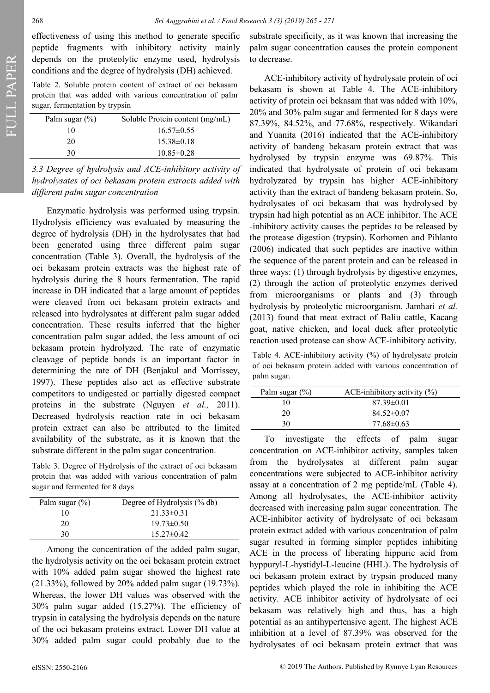effectiveness of using this method to generate specific peptide fragments with inhibitory activity mainly depends on the proteolytic enzyme used, hydrolysis conditions and the degree of hydrolysis (DH) achieved.

Table 2. Soluble protein content of extract of oci bekasam protein that was added with various concentration of palm sugar, fermentation by trypsin

| Palm sugar $(\%)$ | Soluble Protein content (mg/mL) |
|-------------------|---------------------------------|
| 10                | $16.57 \pm 0.55$                |
| 20                | $15.38\pm0.18$                  |
| 30                | $10.85 \pm 0.28$                |

*3.3 Degree of hydrolysis and ACE-inhibitory activity of hydrolysates of oci bekasam protein extracts added with different palm sugar concentration*

Enzymatic hydrolysis was performed using trypsin. Hydrolysis efficiency was evaluated by measuring the degree of hydrolysis (DH) in the hydrolysates that had been generated using three different palm sugar concentration (Table 3). Overall, the hydrolysis of the oci bekasam protein extracts was the highest rate of hydrolysis during the 8 hours fermentation. The rapid increase in DH indicated that a large amount of peptides were cleaved from oci bekasam protein extracts and released into hydrolysates at different palm sugar added concentration. These results inferred that the higher concentration palm sugar added, the less amount of oci bekasam protein hydrolyzed. The rate of enzymatic cleavage of peptide bonds is an important factor in determining the rate of DH (Benjakul and Morrissey, 1997). These peptides also act as effective substrate competitors to undigested or partially digested compact proteins in the substrate (Nguyen *et al.,* 2011). Decreased hydrolysis reaction rate in oci bekasam protein extract can also be attributed to the limited availability of the substrate, as it is known that the substrate different in the palm sugar concentration.

Table 3. Degree of Hydrolysis of the extract of oci bekasam protein that was added with various concentration of palm sugar and fermented for 8 days

| Palm sugar $(\%)$ | Degree of Hydrolysis (% db) |
|-------------------|-----------------------------|
| 10                | $21.33\pm0.31$              |
| 20                | $19.73 \pm 0.50$            |
| 30                | $15.27 \pm 0.42$            |
|                   |                             |

Among the concentration of the added palm sugar, the hydrolysis activity on the oci bekasam protein extract with 10% added palm sugar showed the highest rate (21.33%), followed by 20% added palm sugar (19.73%). Whereas, the lower DH values was observed with the 30% palm sugar added (15.27%). The efficiency of trypsin in catalysing the hydrolysis depends on the nature of the oci bekasam proteins extract. Lower DH value at 30% added palm sugar could probably due to the

substrate specificity, as it was known that increasing the palm sugar concentration causes the protein component to decrease.

ACE-inhibitory activity of hydrolysate protein of oci bekasam is shown at Table 4. The ACE-inhibitory activity of protein oci bekasam that was added with 10%, 20% and 30% palm sugar and fermented for 8 days were 87.39%, 84.52%, and 77.68%, respectively. Wikandari and Yuanita (2016) indicated that the ACE-inhibitory activity of bandeng bekasam protein extract that was hydrolysed by trypsin enzyme was 69.87%. This indicated that hydrolysate of protein of oci bekasam hydrolyzated by trypsin has higher ACE-inhibitory activity than the extract of bandeng bekasam protein. So, hydrolysates of oci bekasam that was hydrolysed by trypsin had high potential as an ACE inhibitor. The ACE -inhibitory activity causes the peptides to be released by the protease digestion (trypsin). Korhomen and Pihlanto (2006) indicated that such peptides are inactive within the sequence of the parent protein and can be released in three ways: (1) through hydrolysis by digestive enzymes, (2) through the action of proteolytic enzymes derived from microorganisms or plants and (3) through hydrolysis by proteolytic microorganism. Jamhari *et al.* (2013) found that meat extract of Baliu cattle, Kacang goat, native chicken, and local duck after proteolytic reaction used protease can show ACE-inhibitory activity.

Table 4. ACE-inhibitory activity (%) of hydrolysate protein of oci bekasam protein added with various concentration of palm sugar.

| Palm sugar $(\%)$ | ACE-inhibitory activity $(\%)$ |
|-------------------|--------------------------------|
| 10                | $87.39 \pm 0.01$               |
| 20                | $84.52\pm0.07$                 |
| 30                | $77.68 \pm 0.63$               |

To investigate the effects of palm sugar concentration on ACE-inhibitor activity, samples taken from the hydrolysates at different palm sugar concentrations were subjected to ACE-inhibitor activity assay at a concentration of 2 mg peptide/mL (Table 4). Among all hydrolysates, the ACE-inhibitor activity decreased with increasing palm sugar concentration. The ACE-inhibitor activity of hydrolysate of oci bekasam protein extract added with various concentration of palm sugar resulted in forming simpler peptides inhibiting ACE in the process of liberating hippuric acid from hyppuryl-L-hystidyl-L-leucine (HHL). The hydrolysis of oci bekasam protein extract by trypsin produced many peptides which played the role in inhibiting the ACE activity. ACE inhibitor activity of hydrolysate of oci bekasam was relatively high and thus, has a high potential as an antihypertensive agent. The highest ACE inhibition at a level of 87.39% was observed for the hydrolysates of oci bekasam protein extract that was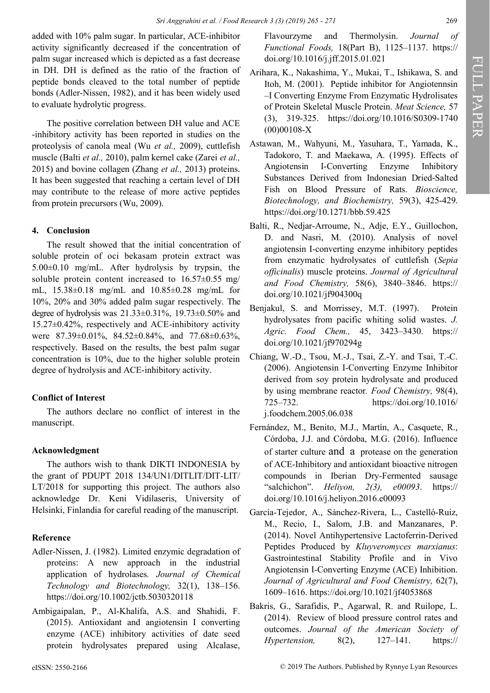added with 10% palm sugar. In particular, ACE-inhibitor activity significantly decreased if the concentration of palm sugar increased which is depicted as a fast decrease in DH. DH is defined as the ratio of the fraction of peptide bonds cleaved to the total number of peptide bonds (Adler-Nissen, 1982), and it has been widely used to evaluate hydrolytic progress.

The positive correlation between DH value and ACE -inhibitory activity has been reported in studies on the proteolysis of canola meal (Wu *et al.,* 2009), cuttlefish muscle (Balti *et al.,* 2010), palm kernel cake (Zarei *et al.,* 2015) and bovine collagen (Zhang *et al.,* 2013) proteins. It has been suggested that reaching a certain level of DH may contribute to the release of more active peptides from protein precursors (Wu, 2009).

# **4. Conclusion**

The result showed that the initial concentration of soluble protein of oci bekasam protein extract was 5.00±0.10 mg/mL. After hydrolysis by trypsin, the soluble protein content increased to 16.57±0.55 mg/ mL, 15.38±0.18 mg/mL and 10.85±0.28 mg/mL for 10%, 20% and 30% added palm sugar respectively. The degree of hydrolysis was  $21.33\pm0.31\%$ ,  $19.73\pm0.50\%$  and 15.27±0.42%, respectively and ACE-inhibitory activity were 87.39±0.01%, 84.52±0.84%, and 77.68±0.63%, respectively. Based on the results, the best palm sugar concentration is 10%, due to the higher soluble protein degree of hydrolysis and ACE-inhibitory activity.

# **Conflict of Interest**

The authors declare no conflict of interest in the manuscript.

# **Acknowledgment**

The authors wish to thank DIKTI INDONESIA by the grant of PDUPT 2018 134/UN1/DITLIT/DIT-LIT/ LT/2018 for supporting this project. The authors also acknowledge Dr. Keni Vidilaseris, University of Helsinki, Finlandia for careful reading of the manuscript.

# **Reference**

- Adler-Nissen, J. (1982). Limited enzymic degradation of proteins: A new approach in the industrial application of hydrolases*. Journal of Chemical Technology and Biotechnology,* 32(1), 138–156. https://doi.org/10.1002/jctb.5030320118
- Ambigaipalan, P., Al-Khalifa, A.S. and Shahidi, F. (2015). Antioxidant and angiotensin I converting enzyme (ACE) inhibitory activities of date seed protein hydrolysates prepared using Alcalase,

Flavourzyme and Thermolysin. *Journal of Functional Foods,* 18(Part B), 1125–1137. https:// doi.org/10.1016/j.jff.2015.01.021

- Arihara, K., Nakashima, Y., Mukai, T., Ishikawa, S. and Itoh, M. (2001). Peptide inhibitor for Angiotennsin –I Converting Enzyme From Enzymatic Hydrolisates of Protein Skeletal Muscle Protein. *Meat Science,* 57 (3), 319-325. https://doi.org/10.1016/S0309-1740 (00)00108-X
- Astawan, M., Wahyuni, M., Yasuhara, T., Yamada, K., Tadokoro, T. and Maekawa, A. (1995). Effects of Angiotensin I-Converting Enzyme Inhibitory Substances Derived from Indonesian Dried-Salted Fish on Blood Pressure of Rats. *Bioscience, Biotechnology, and Biochemistry,* 59(3), 425-429. https://doi.org/10.1271/bbb.59.425
- Balti, R., Nedjar-Arroume, N., Adje, E.Y., Guillochon, D. and Nasri, M. (2010). Analysis of novel angiotensin I-converting enzyme inhibitory peptides from enzymatic hydrolysates of cuttlefish (*Sepia officinalis*) muscle proteins. *Journal of Agricultural and Food Chemistry,* 58(6), 3840–3846. https:// doi.org/10.1021/jf904300q
- Benjakul, S. and Morrissey, M.T. (1997). Protein hydrolysates from pacific whiting solid wastes. *J. Agric. Food Chem.,* 45, 3423–3430. https:// doi.org/10.1021/jf970294g
- Chiang, W.-D., Tsou, M.-J., Tsai, Z.-Y. and Tsai, T.-C. (2006). Angiotensin I-Converting Enzyme Inhibitor derived from soy protein hydrolysate and produced by using membrane reactor*. Food Chemistry,* 98(4), 725–732. https://doi.org/10.1016/ j.foodchem.2005.06.038
- Fernández, M., Benito, M.J., Martín, A., Casquete, R., Córdoba, J.J. and Córdoba, M.G. (2016). Influence of starter culture and a protease on the generation of ACE-Inhibitory and antioxidant bioactive nitrogen compounds in Iberian Dry-Fermented sausage "salchichon". *Heliyon, 2(3), e00093*. https:// doi.org/10.1016/j.heliyon.2016.e00093
- García-Tejedor, A., Sánchez-Rivera, L., Castelló-Ruiz, M., Recio, I., Salom, J.B. and Manzanares, P. (2014). Novel Antihypertensive Lactoferrin-Derived Peptides Produced by *Kluyveromyces marxianus*: Gastrointestinal Stability Profile and in Vivo Angiotensin I-Converting Enzyme (ACE) Inhibition. *Journal of Agricultural and Food Chemistry,* 62(7), 1609–1616. https://doi.org/10.1021/jf4053868
- Bakris, G., Sarafidis, P., Agarwal, R. and Ruilope, L. (2014). Review of blood pressure control rates and outcomes. *Journal of the American Society of Hypertension,* 8(2), 127–141. https://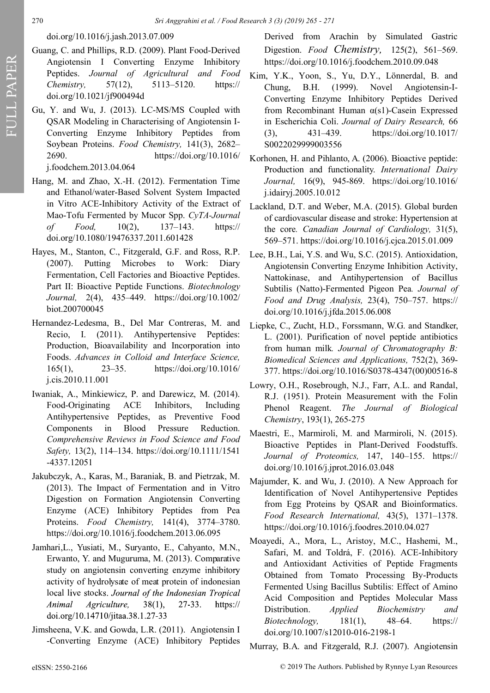# doi.org/10.1016/j.jash.2013.07.009

- Guang, C. and Phillips, R.D. (2009). Plant Food-Derived Angiotensin I Converting Enzyme Inhibitory Peptides. *Journal of Agricultural and Food Chemistry,* 57(12), 5113–5120. https:// doi.org/10.1021/jf900494d
- Gu, Y. and Wu, J. (2013). LC-MS/MS Coupled with QSAR Modeling in Characterising of Angiotensin I-Converting Enzyme Inhibitory Peptides from Soybean Proteins. *Food Chemistry,* 141(3), 2682– 2690. https://doi.org/10.1016/ j.foodchem.2013.04.064
- Hang, M. and Zhao, X.-H. (2012). Fermentation Time and Ethanol/water-Based Solvent System Impacted in Vitro ACE-Inhibitory Activity of the Extract of Mao-Tofu Fermented by Mucor Spp. *CyTA-Journal of Food,* 10(2), 137–143. https:// doi.org/10.1080/19476337.2011.601428
- Hayes, M., Stanton, C., Fitzgerald, G.F. and Ross, R.P. (2007). Putting Microbes to Work: Diary Fermentation, Cell Factories and Bioactive Peptides. Part II: Bioactive Peptide Functions. *Biotechnology Journal,* 2(4), 435–449. https://doi.org/10.1002/ biot.200700045
- Hernandez-Ledesma, B., Del Mar Contreras, M. and Recio, I. (2011). Antihypertensive Peptides: Production, Bioavailability and Incorporation into Foods. *Advances in Colloid and Interface Science,* 165(1), 23–35. https://doi.org/10.1016/ j.cis.2010.11.001
- Iwaniak, A., Minkiewicz, P. and Darewicz, M. (2014). Food-Originating ACE Inhibitors, Including Antihypertensive Peptides, as Preventive Food Components in Blood Pressure Reduction. *Comprehensive Reviews in Food Science and Food Safety,* 13(2), 114–134. https://doi.org/10.1111/1541 -4337.12051
- Jakubczyk, A., Karas, M., Baraniak, B. and Pietrzak, M. (2013). The Impact of Fermentation and in Vitro Digestion on Formation Angiotensin Converting Enzyme (ACE) Inhibitory Peptides from Pea Proteins. *Food Chemistry,* 141(4), 3774–3780. https://doi.org/10.1016/j.foodchem.2013.06.095
- Jamhari,L., Yusiati, M., Suryanto, E., Cahyanto, M.N., Erwanto, Y. and Muguruma, M. (2013). Comparative study on angiotensin converting enzyme inhibitory activity of hydrolysate of meat protein of indonesian local live stocks. Journal of the Indonesian Tropical Agriculture,  $27 - 33$ . Animal  $38(1)$ , https:// doi.org/10.14710/jitaa.38.1.27-33
- Jimsheena, V.K. and Gowda, L.R. (2011). Angiotensin I -Converting Enzyme (ACE) Inhibitory Peptides

Derived from Arachin by Simulated Gastric Digestion. *Food Chemistry,* 125(2), 561–569. https://doi.org/10.1016/j.foodchem.2010.09.048

- Kim, Y.K., Yoon, S., Yu, D.Y., Lönnerdal, B. and Chung, B.H. (1999). Novel Angiotensin-I-Converting Enzyme Inhibitory Peptides Derived from Recombinant Human α(s1)-Casein Expressed in Escherichia Coli. *Journal of Dairy Research,* 66 (3), 431–439. https://doi.org/10.1017/ S0022029999003556
- Korhonen, H. and Pihlanto, A. (2006). Bioactive peptide: Production and functionality. *International Dairy Journal,* 16(9), 945-869. https://doi.org/10.1016/ j.idairyj.2005.10.012
- Lackland, D.T. and Weber, M.A. (2015). Global burden of cardiovascular disease and stroke: Hypertension at the core*. Canadian Journal of Cardiology,* 31(5), 569–571. https://doi.org/10.1016/j.cjca.2015.01.009
- Lee, B.H., Lai, Y.S. and Wu, S.C. (2015). Antioxidation, Angiotensin Converting Enzyme Inhibition Activity, Nattokinase, and Antihypertension of Bacillus Subtilis (Natto)-Fermented Pigeon Pea*. Journal of Food and Drug Analysis,* 23(4), 750–757. https:// doi.org/10.1016/j.jfda.2015.06.008
- Liepke, C., Zucht, H.D., Forssmann, W.G. and Standker, L. (2001). Purification of novel peptide antibiotics from human milk*. Journal of Chromatography B: Biomedical Sciences and Applications,* 752(2), 369- 377. https://doi.org/10.1016/S0378-4347(00)00516-8
- Lowry, O.H., Rosebrough, N.J., Farr, A.L. and Randal, R.J. (1951). Protein Measurement with the Folin Phenol Reagent. *The Journal of Biological Chemistry*, 193(1), 265-275
- Maestri, E., Marmiroli, M. and Marmiroli, N. (2015). Bioactive Peptides in Plant-Derived Foodstuffs. *Journal of Proteomics,* 147, 140–155. https:// doi.org/10.1016/j.jprot.2016.03.048
- Majumder, K. and Wu, J. (2010). A New Approach for Identification of Novel Antihypertensive Peptides from Egg Proteins by QSAR and Bioinformatics. *Food Research International,* 43(5), 1371–1378. https://doi.org/10.1016/j.foodres.2010.04.027
- Moayedi, A., Mora, L., Aristoy, M.C., Hashemi, M., Safari, M. and Toldrá, F. (2016). ACE-Inhibitory and Antioxidant Activities of Peptide Fragments Obtained from Tomato Processing By-Products Fermented Using Bacillus Subtilis: Effect of Amino Acid Composition and Peptides Molecular Mass Distribution. *Applied Biochemistry and Biotechnology,* 181(1), 48–64. https:// doi.org/10.1007/s12010-016-2198-1
- Murray, B.A. and Fitzgerald, R.J. (2007). Angiotensin